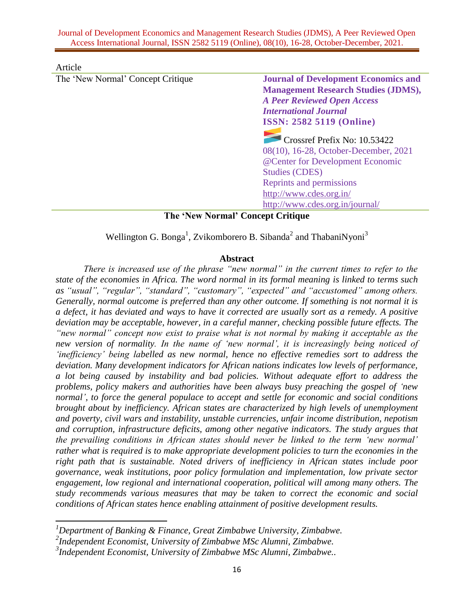| The 'New Normal' Concept Critique<br><b>Journal of Development Economics and</b><br><b>Management Research Studies (JDMS),</b><br><b>A Peer Reviewed Open Access</b><br><b>International Journal</b><br><b>ISSN: 2582 5119 (Online)</b><br>Crossref Prefix No: 10.53422<br>08(10), 16-28, October-December, 2021<br>@Center for Development Economic | Reprints and permissions |
|------------------------------------------------------------------------------------------------------------------------------------------------------------------------------------------------------------------------------------------------------------------------------------------------------------------------------------------------------|--------------------------|
|                                                                                                                                                                                                                                                                                                                                                      | <b>Studies (CDES)</b>    |
|                                                                                                                                                                                                                                                                                                                                                      |                          |
|                                                                                                                                                                                                                                                                                                                                                      |                          |
|                                                                                                                                                                                                                                                                                                                                                      |                          |
|                                                                                                                                                                                                                                                                                                                                                      |                          |
|                                                                                                                                                                                                                                                                                                                                                      |                          |
| Article                                                                                                                                                                                                                                                                                                                                              |                          |

**The 'New Normal' Concept Critique**

Wellington G. Bonga<sup>1</sup>, Zvikomborero B. Sibanda<sup>2</sup> and ThabaniNyoni<sup>3</sup>

#### **Abstract**

*There is increased use of the phrase "new normal" in the current times to refer to the state of the economies in Africa. The word normal in its formal meaning is linked to terms such as "usual", "regular", "standard", "customary", "expected" and "accustomed" among others. Generally, normal outcome is preferred than any other outcome. If something is not normal it is a defect, it has deviated and ways to have it corrected are usually sort as a remedy. A positive deviation may be acceptable, however, in a careful manner, checking possible future effects. The "new normal" concept now exist to praise what is not normal by making it acceptable as the new version of normality. In the name of 'new normal', it is increasingly being noticed of 'inefficiency' being labelled as new normal, hence no effective remedies sort to address the deviation. Many development indicators for African nations indicates low levels of performance, a lot being caused by instability and bad policies. Without adequate effort to address the problems, policy makers and authorities have been always busy preaching the gospel of 'new normal', to force the general populace to accept and settle for economic and social conditions brought about by inefficiency. African states are characterized by high levels of unemployment and poverty, civil wars and instability, unstable currencies, unfair income distribution, nepotism and corruption, infrastructure deficits, among other negative indicators. The study argues that the prevailing conditions in African states should never be linked to the term 'new normal' rather what is required is to make appropriate development policies to turn the economies in the right path that is sustainable. Noted drivers of inefficiency in African states include poor governance, weak institutions, poor policy formulation and implementation, low private sector engagement, low regional and international cooperation, political will among many others. The study recommends various measures that may be taken to correct the economic and social conditions of African states hence enabling attainment of positive development results.* 

 $\overline{\phantom{a}}$ 

*<sup>1</sup>Department of Banking & Finance, Great Zimbabwe University, Zimbabwe.*

*<sup>2</sup> Independent Economist, University of Zimbabwe MSc Alumni, Zimbabwe.*

*<sup>3</sup> Independent Economist, University of Zimbabwe MSc Alumni, Zimbabwe..*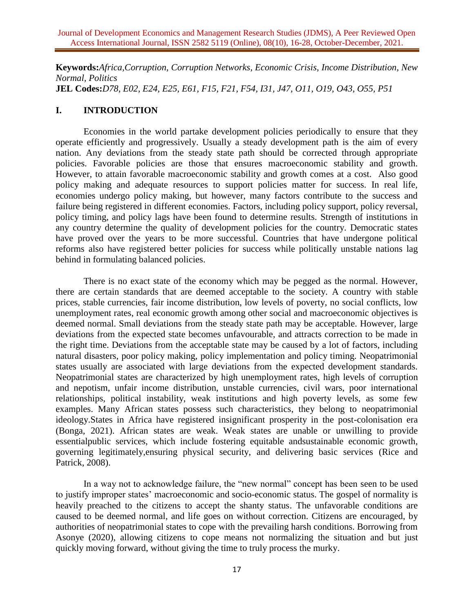**Keywords:***Africa,Corruption, Corruption Networks, Economic Crisis, Income Distribution, New Normal, Politics* **JEL Codes:***D78, E02, E24, E25, E61, F15, F21, F54, I31, J47, O11, O19, O43, O55, P51*

# **I. INTRODUCTION**

Economies in the world partake development policies periodically to ensure that they operate efficiently and progressively. Usually a steady development path is the aim of every nation. Any deviations from the steady state path should be corrected through appropriate policies. Favorable policies are those that ensures macroeconomic stability and growth. However, to attain favorable macroeconomic stability and growth comes at a cost. Also good policy making and adequate resources to support policies matter for success. In real life, economies undergo policy making, but however, many factors contribute to the success and failure being registered in different economies. Factors, including policy support, policy reversal, policy timing, and policy lags have been found to determine results. Strength of institutions in any country determine the quality of development policies for the country. Democratic states have proved over the years to be more successful. Countries that have undergone political reforms also have registered better policies for success while politically unstable nations lag behind in formulating balanced policies.

There is no exact state of the economy which may be pegged as the normal. However, there are certain standards that are deemed acceptable to the society. A country with stable prices, stable currencies, fair income distribution, low levels of poverty, no social conflicts, low unemployment rates, real economic growth among other social and macroeconomic objectives is deemed normal. Small deviations from the steady state path may be acceptable. However, large deviations from the expected state becomes unfavourable, and attracts correction to be made in the right time. Deviations from the acceptable state may be caused by a lot of factors, including natural disasters, poor policy making, policy implementation and policy timing. Neopatrimonial states usually are associated with large deviations from the expected development standards. Neopatrimonial states are characterized by high unemployment rates, high levels of corruption and nepotism, unfair income distribution, unstable currencies, civil wars, poor international relationships, political instability, weak institutions and high poverty levels, as some few examples. Many African states possess such characteristics, they belong to neopatrimonial ideology.States in Africa have registered insignificant prosperity in the post-colonisation era (Bonga, 2021). African states are weak. Weak states are unable or unwilling to provide essentialpublic services, which include fostering equitable andsustainable economic growth, governing legitimately,ensuring physical security, and delivering basic services (Rice and Patrick, 2008).

In a way not to acknowledge failure, the "new normal" concept has been seen to be used to justify improper states' macroeconomic and socio-economic status. The gospel of normality is heavily preached to the citizens to accept the shanty status. The unfavorable conditions are caused to be deemed normal, and life goes on without correction. Citizens are encouraged, by authorities of neopatrimonial states to cope with the prevailing harsh conditions. Borrowing from Asonye (2020), allowing citizens to cope means not normalizing the situation and but just quickly moving forward, without giving the time to truly process the murky.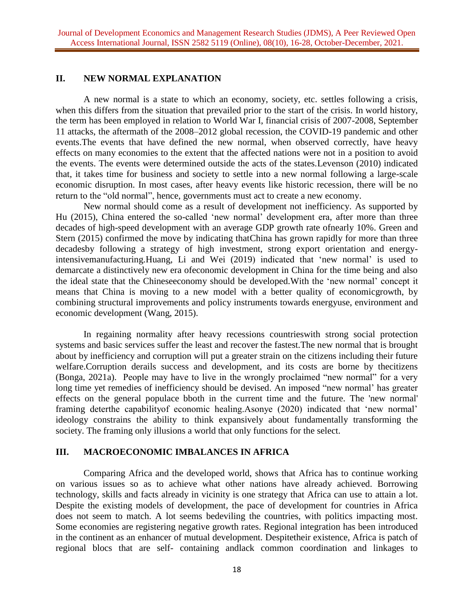## **II. NEW NORMAL EXPLANATION**

A new normal is a state to which an economy, society, etc. settles following a crisis, when this differs from the situation that prevailed prior to the start of the crisis. In world history, the term has been employed in relation to World War I, financial crisis of 2007-2008, September 11 attacks, the aftermath of the 2008–2012 global recession, the COVID-19 pandemic and other events.The events that have defined the new normal, when observed correctly, have heavy effects on many economies to the extent that the affected nations were not in a position to avoid the events. The events were determined outside the acts of the states.Levenson (2010) indicated that, it takes time for business and society to settle into a new normal following a large-scale economic disruption. In most cases, after heavy events like historic recession, there will be no return to the "old normal", hence, governments must act to create a new economy.

New normal should come as a result of development not inefficiency. As supported by Hu (2015), China entered the so-called 'new normal' development era, after more than three decades of high-speed development with an average GDP growth rate ofnearly 10%. Green and Stern (2015) confirmed the move by indicating thatChina has grown rapidly for more than three decadesby following a strategy of high investment, strong export orientation and energyintensivemanufacturing.Huang, Li and Wei (2019) indicated that 'new normal' is used to demarcate a distinctively new era ofeconomic development in China for the time being and also the ideal state that the Chineseeconomy should be developed.With the 'new normal' concept it means that China is moving to a new model with a better quality of economicgrowth, by combining structural improvements and policy instruments towards energyuse, environment and economic development (Wang, 2015).

In regaining normality after heavy recessions countrieswith strong social protection systems and basic services suffer the least and recover the fastest.The new normal that is brought about by inefficiency and corruption will put a greater strain on the citizens including their future welfare.Corruption derails success and development, and its costs are borne by thecitizens (Bonga, 2021a). People may have to live in the wrongly proclaimed "new normal" for a very long time yet remedies of inefficiency should be devised. An imposed "new normal' has greater effects on the general populace bboth in the current time and the future. The 'new normal' framing deterthe capabilityof economic healing.Asonye (2020) indicated that 'new normal' ideology constrains the ability to think expansively about fundamentally transforming the society. The framing only illusions a world that only functions for the select.

## **III. MACROECONOMIC IMBALANCES IN AFRICA**

Comparing Africa and the developed world, shows that Africa has to continue working on various issues so as to achieve what other nations have already achieved. Borrowing technology, skills and facts already in vicinity is one strategy that Africa can use to attain a lot. Despite the existing models of development, the pace of development for countries in Africa does not seem to match. A lot seems bedeviling the countries, with politics impacting most. Some economies are registering negative growth rates. Regional integration has been introduced in the continent as an enhancer of mutual development. Despitetheir existence, Africa is patch of regional blocs that are self- containing andlack common coordination and linkages to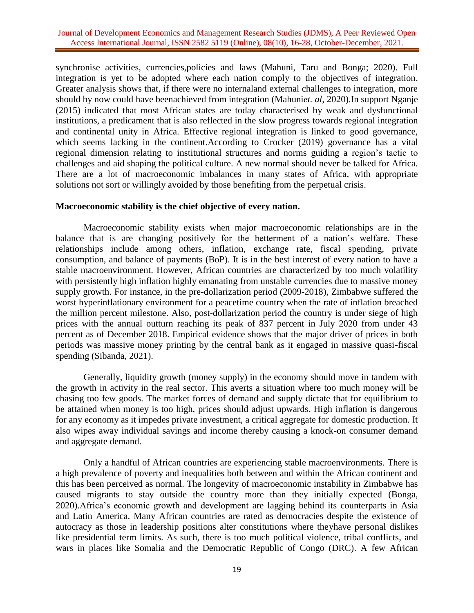synchronise activities, currencies,policies and laws (Mahuni, Taru and Bonga; 2020). Full integration is yet to be adopted where each nation comply to the objectives of integration. Greater analysis shows that, if there were no internaland external challenges to integration, more should by now could have beenachieved from integration (Mahuni*et. al*, 2020).In support Nganje (2015) indicated that most African states are today characterised by weak and dysfunctional institutions, a predicament that is also reflected in the slow progress towards regional integration and continental unity in Africa. Effective regional integration is linked to good governance, which seems lacking in the continent.According to Crocker (2019) governance has a vital regional dimension relating to institutional structures and norms guiding a region's tactic to challenges and aid shaping the political culture. A new normal should never be talked for Africa. There are a lot of macroeconomic imbalances in many states of Africa, with appropriate solutions not sort or willingly avoided by those benefiting from the perpetual crisis.

#### **Macroeconomic stability is the chief objective of every nation.**

Macroeconomic stability exists when major macroeconomic relationships are in the balance that is are changing positively for the betterment of a nation's welfare. These relationships include among others, inflation, exchange rate, fiscal spending, private consumption, and balance of payments (BoP). It is in the best interest of every nation to have a stable macroenvironment. However, African countries are characterized by too much volatility with persistently high inflation highly emanating from unstable currencies due to massive money supply growth. For instance, in the pre-dollarization period (2009-2018), Zimbabwe suffered the worst hyperinflationary environment for a peacetime country when the rate of inflation breached the million percent milestone. Also, post-dollarization period the country is under siege of high prices with the annual outturn reaching its peak of 837 percent in July 2020 from under 43 percent as of December 2018. Empirical evidence shows that the major driver of prices in both periods was massive money printing by the central bank as it engaged in massive quasi-fiscal spending (Sibanda, 2021).

Generally, liquidity growth (money supply) in the economy should move in tandem with the growth in activity in the real sector. This averts a situation where too much money will be chasing too few goods. The market forces of demand and supply dictate that for equilibrium to be attained when money is too high, prices should adjust upwards. High inflation is dangerous for any economy as it impedes private investment, a critical aggregate for domestic production. It also wipes away individual savings and income thereby causing a knock-on consumer demand and aggregate demand.

Only a handful of African countries are experiencing stable macroenvironments. There is a high prevalence of poverty and inequalities both between and within the African continent and this has been perceived as normal. The longevity of macroeconomic instability in Zimbabwe has caused migrants to stay outside the country more than they initially expected (Bonga, 2020).Africa's economic growth and development are lagging behind its counterparts in Asia and Latin America. Many African countries are rated as democracies despite the existence of autocracy as those in leadership positions alter constitutions where theyhave personal dislikes like presidential term limits. As such, there is too much political violence, tribal conflicts, and wars in places like Somalia and the Democratic Republic of Congo (DRC). A few African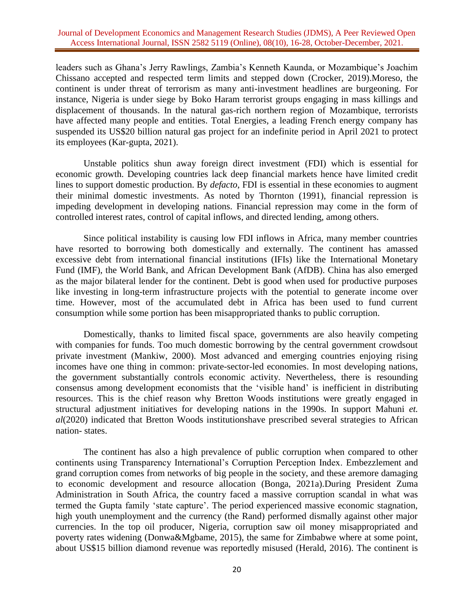leaders such as Ghana's Jerry Rawlings, Zambia's Kenneth Kaunda, or Mozambique's Joachim Chissano accepted and respected term limits and stepped down (Crocker, 2019).Moreso, the continent is under threat of terrorism as many anti-investment headlines are burgeoning. For instance, Nigeria is under siege by Boko Haram terrorist groups engaging in mass killings and displacement of thousands. In the natural gas-rich northern region of Mozambique, terrorists have affected many people and entities. Total Energies, a leading French energy company has suspended its US\$20 billion natural gas project for an indefinite period in April 2021 to protect its employees (Kar-gupta, 2021).

Unstable politics shun away foreign direct investment (FDI) which is essential for economic growth. Developing countries lack deep financial markets hence have limited credit lines to support domestic production. By *defacto*, FDI is essential in these economies to augment their minimal domestic investments. As noted by Thornton (1991), financial repression is impeding development in developing nations. Financial repression may come in the form of controlled interest rates, control of capital inflows, and directed lending, among others.

Since political instability is causing low FDI inflows in Africa, many member countries have resorted to borrowing both domestically and externally. The continent has amassed excessive debt from international financial institutions (IFIs) like the International Monetary Fund (IMF), the World Bank, and African Development Bank (AfDB). China has also emerged as the major bilateral lender for the continent. Debt is good when used for productive purposes like investing in long-term infrastructure projects with the potential to generate income over time. However, most of the accumulated debt in Africa has been used to fund current consumption while some portion has been misappropriated thanks to public corruption.

Domestically, thanks to limited fiscal space, governments are also heavily competing with companies for funds. Too much domestic borrowing by the central government crowdsout private investment (Mankiw, 2000). Most advanced and emerging countries enjoying rising incomes have one thing in common: private-sector-led economies. In most developing nations, the government substantially controls economic activity. Nevertheless, there is resounding consensus among development economists that the 'visible hand' is inefficient in distributing resources. This is the chief reason why Bretton Woods institutions were greatly engaged in structural adjustment initiatives for developing nations in the 1990s. In support Mahuni *et. al*(2020) indicated that Bretton Woods institutionshave prescribed several strategies to African nation- states.

The continent has also a high prevalence of public corruption when compared to other continents using Transparency International's Corruption Perception Index. Embezzlement and grand corruption comes from networks of big people in the society, and these aremore damaging to economic development and resource allocation (Bonga, 2021a).During President Zuma Administration in South Africa, the country faced a massive corruption scandal in what was termed the Gupta family 'state capture'. The period experienced massive economic stagnation, high youth unemployment and the currency (the Rand) performed dismally against other major currencies. In the top oil producer, Nigeria, corruption saw oil money misappropriated and poverty rates widening (Donwa&Mgbame, 2015), the same for Zimbabwe where at some point, about US\$15 billion diamond revenue was reportedly misused (Herald, 2016). The continent is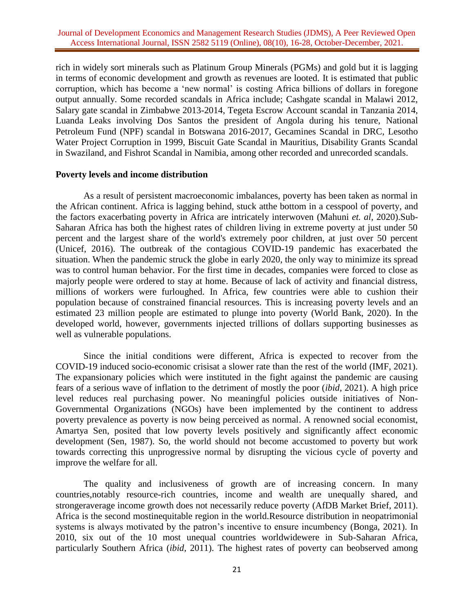rich in widely sort minerals such as Platinum Group Minerals (PGMs) and gold but it is lagging in terms of economic development and growth as revenues are looted. It is estimated that public corruption, which has become a 'new normal' is costing Africa billions of dollars in foregone output annually. Some recorded scandals in Africa include; Cashgate scandal in Malawi 2012, Salary gate scandal in Zimbabwe 2013-2014, Tegeta Escrow Account scandal in Tanzania 2014, Luanda Leaks involving Dos Santos the president of Angola during his tenure, National Petroleum Fund (NPF) scandal in Botswana 2016-2017, Gecamines Scandal in DRC, Lesotho Water Project Corruption in 1999, Biscuit Gate Scandal in Mauritius, Disability Grants Scandal in Swaziland, and Fishrot Scandal in Namibia, among other recorded and unrecorded scandals.

#### **Poverty levels and income distribution**

As a result of persistent macroeconomic imbalances, poverty has been taken as normal in the African continent. Africa is lagging behind, stuck atthe bottom in a cesspool of poverty, and the factors exacerbating poverty in Africa are intricately interwoven (Mahuni *et. al*, 2020).Sub-Saharan Africa has both the highest rates of children living in extreme poverty at just under 50 percent and the largest share of the world's extremely poor children, at just over 50 percent (Unicef, 2016). The outbreak of the contagious COVID-19 pandemic has exacerbated the situation. When the pandemic struck the globe in early 2020, the only way to minimize its spread was to control human behavior. For the first time in decades, companies were forced to close as majorly people were ordered to stay at home. Because of lack of activity and financial distress, millions of workers were furloughed. In Africa, few countries were able to cushion their population because of constrained financial resources. This is increasing poverty levels and an estimated 23 million people are estimated to plunge into poverty (World Bank, 2020). In the developed world, however, governments injected trillions of dollars supporting businesses as well as vulnerable populations.

Since the initial conditions were different, Africa is expected to recover from the COVID-19 induced socio-economic crisisat a slower rate than the rest of the world (IMF, 2021). The expansionary policies which were instituted in the fight against the pandemic are causing fears of a serious wave of inflation to the detriment of mostly the poor (*ibid*, 2021). A high price level reduces real purchasing power. No meaningful policies outside initiatives of Non-Governmental Organizations (NGOs) have been implemented by the continent to address poverty prevalence as poverty is now being perceived as normal. A renowned social economist, Amartya Sen, posited that low poverty levels positively and significantly affect economic development (Sen, 1987). So, the world should not become accustomed to poverty but work towards correcting this unprogressive normal by disrupting the vicious cycle of poverty and improve the welfare for all.

The quality and inclusiveness of growth are of increasing concern. In many countries,notably resource-rich countries, income and wealth are unequally shared, and strongeraverage income growth does not necessarily reduce poverty (AfDB Market Brief, 2011). Africa is the second mostinequitable region in the world.Resource distribution in neopatrimonial systems is always motivated by the patron's incentive to ensure incumbency (Bonga, 2021). In 2010, six out of the 10 most unequal countries worldwidewere in Sub-Saharan Africa, particularly Southern Africa (*ibid*, 2011). The highest rates of poverty can beobserved among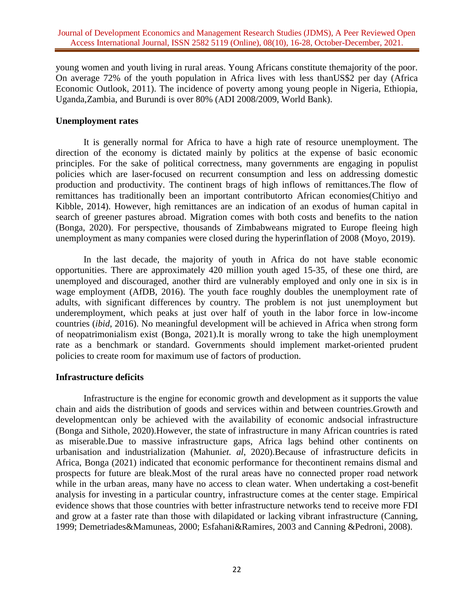young women and youth living in rural areas. Young Africans constitute themajority of the poor. On average 72% of the youth population in Africa lives with less thanUS\$2 per day (Africa Economic Outlook, 2011). The incidence of poverty among young people in Nigeria, Ethiopia, Uganda,Zambia, and Burundi is over 80% (ADI 2008/2009, World Bank).

## **Unemployment rates**

It is generally normal for Africa to have a high rate of resource unemployment. The direction of the economy is dictated mainly by politics at the expense of basic economic principles. For the sake of political correctness, many governments are engaging in populist policies which are laser-focused on recurrent consumption and less on addressing domestic production and productivity. The continent brags of high inflows of remittances.The flow of remittances has traditionally been an important contributorto African economies(Chitiyo and Kibble, 2014). However, high remittances are an indication of an exodus of human capital in search of greener pastures abroad. Migration comes with both costs and benefits to the nation (Bonga, 2020). For perspective, thousands of Zimbabweans migrated to Europe fleeing high unemployment as many companies were closed during the hyperinflation of 2008 (Moyo, 2019).

In the last decade, the majority of youth in Africa do not have stable economic opportunities. There are approximately 420 million youth aged 15-35, of these one third, are unemployed and discouraged, another third are vulnerably employed and only one in six is in wage employment (AfDB, 2016). The youth face roughly doubles the unemployment rate of adults, with significant differences by country. The problem is not just unemployment but underemployment, which peaks at just over half of youth in the labor force in low-income countries (*ibid*, 2016). No meaningful development will be achieved in Africa when strong form of neopatrimonialism exist (Bonga, 2021).It is morally wrong to take the high unemployment rate as a benchmark or standard. Governments should implement market-oriented prudent policies to create room for maximum use of factors of production.

#### **Infrastructure deficits**

Infrastructure is the engine for economic growth and development as it supports the value chain and aids the distribution of goods and services within and between countries.Growth and developmentcan only be achieved with the availability of economic andsocial infrastructure (Bonga and Sithole, 2020).However, the state of infrastructure in many African countries is rated as miserable.Due to massive infrastructure gaps, Africa lags behind other continents on urbanisation and industrialization (Mahuni*et. al*, 2020).Because of infrastructure deficits in Africa, Bonga (2021) indicated that economic performance for thecontinent remains dismal and prospects for future are bleak.Most of the rural areas have no connected proper road network while in the urban areas, many have no access to clean water. When undertaking a cost-benefit analysis for investing in a particular country, infrastructure comes at the center stage. Empirical evidence shows that those countries with better infrastructure networks tend to receive more FDI and grow at a faster rate than those with dilapidated or lacking vibrant infrastructure (Canning, 1999; Demetriades&Mamuneas, 2000; Esfahani&Ramires, 2003 and Canning &Pedroni, 2008).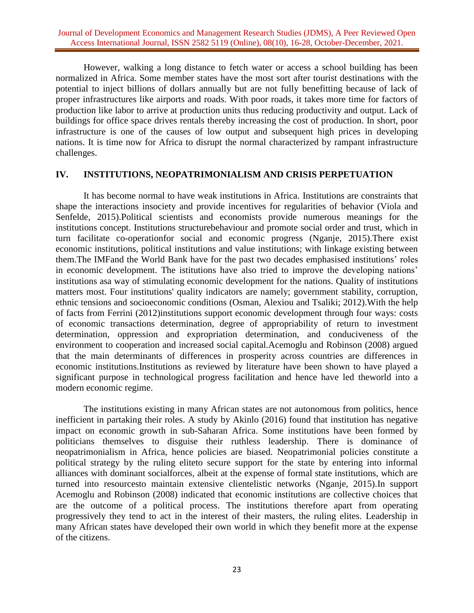However, walking a long distance to fetch water or access a school building has been normalized in Africa. Some member states have the most sort after tourist destinations with the potential to inject billions of dollars annually but are not fully benefitting because of lack of proper infrastructures like airports and roads. With poor roads, it takes more time for factors of production like labor to arrive at production units thus reducing productivity and output. Lack of buildings for office space drives rentals thereby increasing the cost of production. In short, poor infrastructure is one of the causes of low output and subsequent high prices in developing nations. It is time now for Africa to disrupt the normal characterized by rampant infrastructure challenges.

### **IV. INSTITUTIONS, NEOPATRIMONIALISM AND CRISIS PERPETUATION**

It has become normal to have weak institutions in Africa. Institutions are constraints that shape the interactions insociety and provide incentives for regularities of behavior (Viola and Senfelde, 2015).Political scientists and economists provide numerous meanings for the institutions concept. Institutions structurebehaviour and promote social order and trust, which in turn facilitate co-operationfor social and economic progress (Nganje, 2015).There exist economic institutions, political institutions and value institutions; with linkage existing between them.The IMFand the World Bank have for the past two decades emphasised institutions' roles in economic development. The istitutions have also tried to improve the developing nations' institutions asa way of stimulating economic development for the nations. Quality of institutions matters most. Four institutions' quality indicators are namely; government stability, corruption, ethnic tensions and socioeconomic conditions (Osman, Alexiou and Tsaliki; 2012).With the help of facts from Ferrini (2012)institutions support economic development through four ways: costs of economic transactions determination, degree of appropriability of return to investment determination, oppression and expropriation determination, and conduciveness of the environment to cooperation and increased social capital.Acemoglu and Robinson (2008) argued that the main determinants of differences in prosperity across countries are differences in economic institutions.Institutions as reviewed by literature have been shown to have played a significant purpose in technological progress facilitation and hence have led theworld into a modern economic regime.

The institutions existing in many African states are not autonomous from politics, hence inefficient in partaking their roles. A study by Akinlo (2016) found that institution has negative impact on economic growth in sub-Saharan Africa. Some institutions have been formed by politicians themselves to disguise their ruthless leadership. There is dominance of neopatrimonialism in Africa, hence policies are biased. Neopatrimonial policies constitute a political strategy by the ruling eliteto secure support for the state by entering into informal alliances with dominant socialforces, albeit at the expense of formal state institutions, which are turned into resourcesto maintain extensive clientelistic networks (Nganje, 2015).In support Acemoglu and Robinson (2008) indicated that economic institutions are collective choices that are the outcome of a political process. The institutions therefore apart from operating progressively they tend to act in the interest of their masters, the ruling elites. Leadership in many African states have developed their own world in which they benefit more at the expense of the citizens.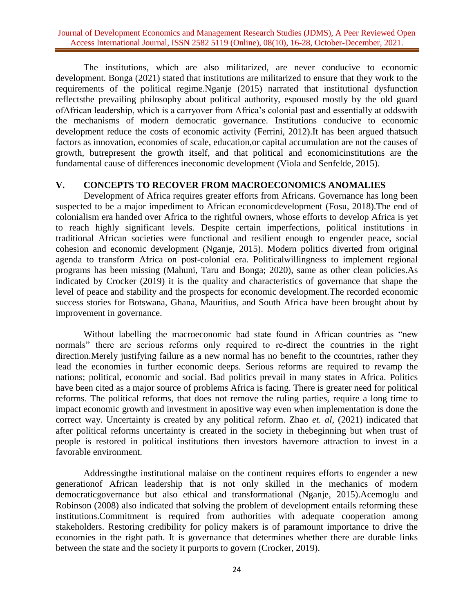The institutions, which are also militarized, are never conducive to economic development. Bonga (2021) stated that institutions are militarized to ensure that they work to the requirements of the political regime.Nganje (2015) narrated that institutional dysfunction reflectsthe prevailing philosophy about political authority, espoused mostly by the old guard ofAfrican leadership, which is a carryover from Africa's colonial past and essentially at oddswith the mechanisms of modern democratic governance. Institutions conducive to economic development reduce the costs of economic activity (Ferrini, 2012).It has been argued thatsuch factors as innovation, economies of scale, education,or capital accumulation are not the causes of growth, butrepresent the growth itself, and that political and economicinstitutions are the fundamental cause of differences ineconomic development (Viola and Senfelde, 2015).

### **V. CONCEPTS TO RECOVER FROM MACROECONOMICS ANOMALIES**

Development of Africa requires greater efforts from Africans. Governance has long been suspected to be a major impediment to African economicdevelopment (Fosu, 2018).The end of colonialism era handed over Africa to the rightful owners, whose efforts to develop Africa is yet to reach highly significant levels. Despite certain imperfections, political institutions in traditional African societies were functional and resilient enough to engender peace, social cohesion and economic development (Nganje, 2015). Modern politics diverted from original agenda to transform Africa on post-colonial era. Politicalwillingness to implement regional programs has been missing (Mahuni, Taru and Bonga; 2020), same as other clean policies.As indicated by Crocker (2019) it is the quality and characteristics of governance that shape the level of peace and stability and the prospects for economic development.The recorded economic success stories for Botswana, Ghana, Mauritius, and South Africa have been brought about by improvement in governance.

Without labelling the macroeconomic bad state found in African countries as "new normals" there are serious reforms only required to re-direct the countries in the right direction.Merely justifying failure as a new normal has no benefit to the ccountries, rather they lead the economies in further economic deeps. Serious reforms are required to revamp the nations; political, economic and social. Bad politics prevail in many states in Africa. Politics have been cited as a major source of problems Africa is facing. There is greater need for political reforms. The political reforms, that does not remove the ruling parties, require a long time to impact economic growth and investment in apositive way even when implementation is done the correct way. Uncertainty is created by any political reform. Zhao *et. al,* (2021) indicated that after political reforms uncertainty is created in the society in thebeginning but when trust of people is restored in political institutions then investors havemore attraction to invest in a favorable environment.

Addressingthe institutional malaise on the continent requires efforts to engender a new generationof African leadership that is not only skilled in the mechanics of modern democraticgovernance but also ethical and transformational (Nganje, 2015).Acemoglu and Robinson (2008) also indicated that solving the problem of development entails reforming these institutions.Commitment is required from authorities with adequate cooperation among stakeholders. Restoring credibility for policy makers is of paramount importance to drive the economies in the right path. It is governance that determines whether there are durable links between the state and the society it purports to govern (Crocker, 2019).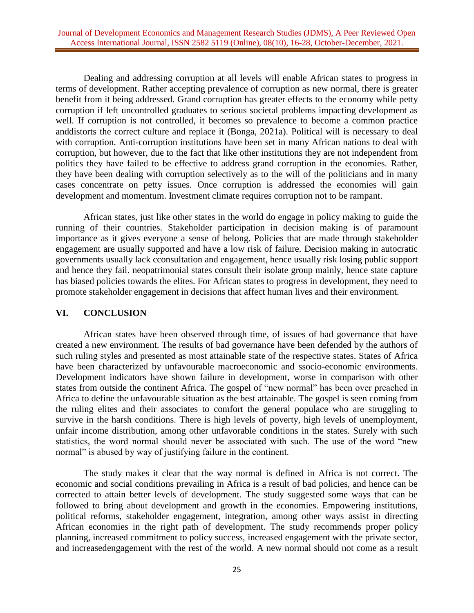Dealing and addressing corruption at all levels will enable African states to progress in terms of development. Rather accepting prevalence of corruption as new normal, there is greater benefit from it being addressed. Grand corruption has greater effects to the economy while petty corruption if left uncontrolled graduates to serious societal problems impacting development as well. If corruption is not controlled, it becomes so prevalence to become a common practice anddistorts the correct culture and replace it (Bonga, 2021a). Political will is necessary to deal with corruption. Anti-corruption institutions have been set in many African nations to deal with corruption, but however, due to the fact that like other institutions they are not independent from politics they have failed to be effective to address grand corruption in the economies. Rather, they have been dealing with corruption selectively as to the will of the politicians and in many cases concentrate on petty issues. Once corruption is addressed the economies will gain development and momentum. Investment climate requires corruption not to be rampant.

African states, just like other states in the world do engage in policy making to guide the running of their countries. Stakeholder participation in decision making is of paramount importance as it gives everyone a sense of belong. Policies that are made through stakeholder engagement are usually supported and have a low risk of failure. Decision making in autocratic governments usually lack cconsultation and engagement, hence usually risk losing public support and hence they fail. neopatrimonial states consult their isolate group mainly, hence state capture has biased policies towards the elites. For African states to progress in development, they need to promote stakeholder engagement in decisions that affect human lives and their environment.

## **VI. CONCLUSION**

African states have been observed through time, of issues of bad governance that have created a new environment. The results of bad governance have been defended by the authors of such ruling styles and presented as most attainable state of the respective states. States of Africa have been characterized by unfavourable macroeconomic and ssocio-economic environments. Development indicators have shown failure in development, worse in comparison with other states from outside the continent Africa. The gospel of "new normal" has been over preached in Africa to define the unfavourable situation as the best attainable. The gospel is seen coming from the ruling elites and their associates to comfort the general populace who are struggling to survive in the harsh conditions. There is high levels of poverty, high levels of unemployment, unfair income distribution, among other unfavorable conditions in the states. Surely with such statistics, the word normal should never be associated with such. The use of the word "new normal" is abused by way of justifying failure in the continent.

The study makes it clear that the way normal is defined in Africa is not correct. The economic and social conditions prevailing in Africa is a result of bad policies, and hence can be corrected to attain better levels of development. The study suggested some ways that can be followed to bring about development and growth in the economies. Empowering institutions, political reforms, stakeholder engagement, integration, among other ways assist in directing African economies in the right path of development. The study recommends proper policy planning, increased commitment to policy success, increased engagement with the private sector, and increasedengagement with the rest of the world. A new normal should not come as a result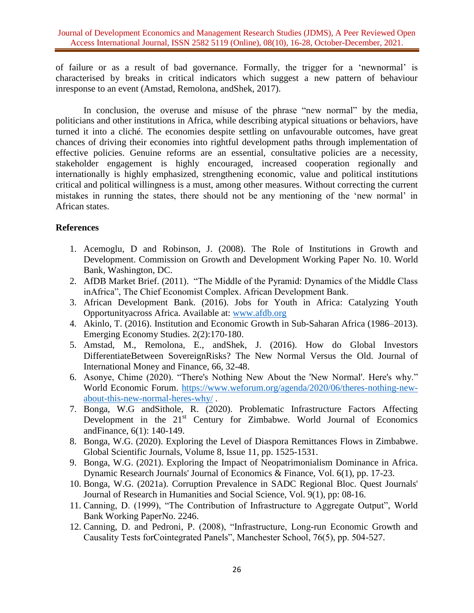of failure or as a result of bad governance. Formally, the trigger for a 'newnormal' is characterised by breaks in critical indicators which suggest a new pattern of behaviour inresponse to an event (Amstad, Remolona, andShek, 2017).

In conclusion, the overuse and misuse of the phrase "new normal" by the media, politicians and other institutions in Africa, while describing atypical situations or behaviors, have turned it into a cliché. The economies despite settling on unfavourable outcomes, have great chances of driving their economies into rightful development paths through implementation of effective policies. Genuine reforms are an essential, consultative policies are a necessity, stakeholder engagement is highly encouraged, increased cooperation regionally and internationally is highly emphasized, strengthening economic, value and political institutions critical and political willingness is a must, among other measures. Without correcting the current mistakes in running the states, there should not be any mentioning of the 'new normal' in African states.

# **References**

- 1. Acemoglu, D and Robinson, J. (2008). The Role of Institutions in Growth and Development. Commission on Growth and Development Working Paper No. 10. World Bank, Washington, DC.
- 2. AfDB Market Brief. (2011). "The Middle of the Pyramid: Dynamics of the Middle Class inAfrica", The Chief Economist Complex. African Development Bank.
- 3. African Development Bank. (2016). Jobs for Youth in Africa: Catalyzing Youth Opportunityacross Africa. Available at: [www.afdb.org](http://www.afdb.org/)
- 4. Akinlo, T. (2016). Institution and Economic Growth in Sub-Saharan Africa (1986–2013). Emerging Economy Studies. 2(2):170-180.
- 5. Amstad, M., Remolona, E., andShek, J. (2016). How do Global Investors DifferentiateBetween SovereignRisks? The New Normal Versus the Old. Journal of International Money and Finance, 66, 32-48.
- 6. Asonye, Chime (2020). "There's Nothing New About the 'New Normal'. Here's why." World Economic Forum. [https://www.weforum.org/agenda/2020/06/theres-nothing-new](https://www.weforum.org/agenda/2020/06/theres-nothing-new-about-this-new-normal-heres-why/)[about-this-new-normal-heres-why/](https://www.weforum.org/agenda/2020/06/theres-nothing-new-about-this-new-normal-heres-why/) .
- 7. Bonga, W.G andSithole, R. (2020). Problematic Infrastructure Factors Affecting Development in the 21<sup>st</sup> Century for Zimbabwe. World Journal of Economics andFinance, 6(1): 140-149.
- 8. Bonga, W.G. (2020). Exploring the Level of Diaspora Remittances Flows in Zimbabwe. Global Scientific Journals, Volume 8, Issue 11, pp. 1525-1531.
- 9. Bonga, W.G. (2021). Exploring the Impact of Neopatrimonialism Dominance in Africa. Dynamic Research Journals' Journal of Economics & Finance, Vol. 6(1), pp. 17-23.
- 10. Bonga, W.G. (2021a). Corruption Prevalence in SADC Regional Bloc. Quest Journals' Journal of Research in Humanities and Social Science, Vol. 9(1), pp: 08-16.
- 11. Canning, D. (1999), "The Contribution of Infrastructure to Aggregate Output", World Bank Working PaperNo. 2246.
- 12. Canning, D. and Pedroni, P. (2008), "Infrastructure, Long-run Economic Growth and Causality Tests forCointegrated Panels", Manchester School, 76(5), pp. 504-527.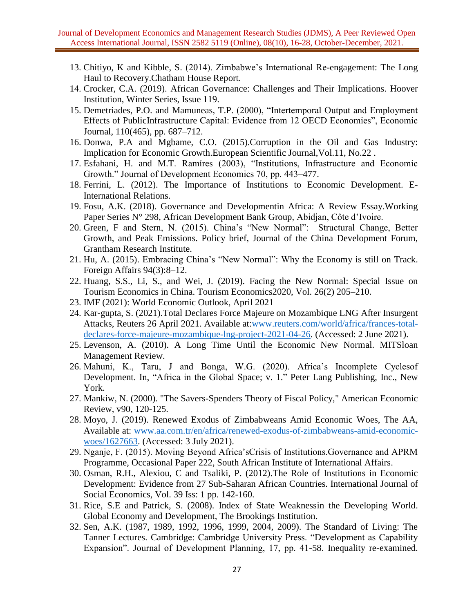- 13. Chitiyo, K and Kibble, S. (2014). Zimbabwe's International Re-engagement: The Long Haul to Recovery.Chatham House Report.
- 14. Crocker, C.A. (2019). African Governance: Challenges and Their Implications. Hoover Institution, Winter Series, Issue 119.
- 15. Demetriades, P.O. and Mamuneas, T.P. (2000), "Intertemporal Output and Employment Effects of PublicInfrastructure Capital: Evidence from 12 OECD Economies", Economic Journal, 110(465), pp. 687–712.
- 16. Donwa, P.A and Mgbame, C.O. (2015).Corruption in the Oil and Gas Industry: Implication for Economic Growth.European Scientific Journal,Vol.11, No.22 .
- 17. Esfahani, H. and M.T. Ramíres (2003), "Institutions, Infrastructure and Economic Growth." Journal of Development Economics 70, pp. 443–477.
- 18. Ferrini, L. (2012). The Importance of Institutions to Economic Development. E-International Relations.
- 19. Fosu, A.K. (2018). Governance and Developmentin Africa: A Review Essay.Working Paper Series N° 298, African Development Bank Group, Abidjan, Côte d'Ivoire.
- 20. Green, F and Stern, N. (2015). China's "New Normal": Structural Change, Better Growth, and Peak Emissions. Policy brief, Journal of the China Development Forum, Grantham Research Institute.
- 21. Hu, A. (2015). Embracing China's "New Normal": Why the Economy is still on Track. Foreign Affairs 94(3):8–12.
- 22. Huang, S.S., Li, S., and Wei, J. (2019). Facing the New Normal: Special Issue on Tourism Economics in China. Tourism Economics2020, Vol. 26(2) 205–210.
- 23. IMF (2021): World Economic Outlook, April 2021
- 24. Kar-gupta, S. (2021).Total Declares Force Majeure on Mozambique LNG After Insurgent Attacks, Reuters 26 April 2021. Available at[:www.reuters.com/world/africa/frances-total](http://www.reuters.com/world/africa/frances-total-declares-force-majeure-mozambique-lng-project-2021-04-26)[declares-force-majeure-mozambique-lng-project-2021-04-26.](http://www.reuters.com/world/africa/frances-total-declares-force-majeure-mozambique-lng-project-2021-04-26) (Accessed: 2 June 2021).
- 25. Levenson, A. (2010). A Long Time Until the Economic New Normal. MITSloan Management Review.
- 26. Mahuni, K., Taru, J and Bonga, W.G. (2020). Africa's Incomplete Cyclesof Development. In, "Africa in the Global Space; v. 1." Peter Lang Publishing, Inc., New York.
- 27. Mankiw, N. (2000). "The Savers-Spenders Theory of Fiscal Policy," American Economic Review, v90, 120-125.
- 28. Moyo, J. (2019). Renewed Exodus of Zimbabweans Amid Economic Woes, The AA, Available at: [www.aa.com.tr/en/africa/renewed-exodus-of-zimbabweans-amid-economic](http://www.aa.com.tr/en/africa/renewed-exodus-of-zimbabweans-amid-economic-woes/1627663)[woes/1627663.](http://www.aa.com.tr/en/africa/renewed-exodus-of-zimbabweans-amid-economic-woes/1627663) (Accessed: 3 July 2021).
- 29. Nganje, F. (2015). Moving Beyond Africa'sCrisis of Institutions.Governance and APRM Programme, Occasional Paper 222, South African Institute of International Affairs.
- 30. Osman, R.H., Alexiou, C and Tsaliki, P. (2012).The Role of Institutions in Economic Development: Evidence from 27 Sub-Saharan African Countries. International Journal of Social Economics, Vol. 39 Iss: 1 pp. 142-160.
- 31. Rice, S.E and Patrick, S. (2008). Index of State Weaknessin the Developing World. Global Economy and Development, The Brookings Institution.
- 32. Sen, A.K. (1987, 1989, 1992, 1996, 1999, 2004, 2009). The Standard of Living: The Tanner Lectures. Cambridge: Cambridge University Press. "Development as Capability Expansion". Journal of Development Planning, 17, pp. 41-58. Inequality re-examined.